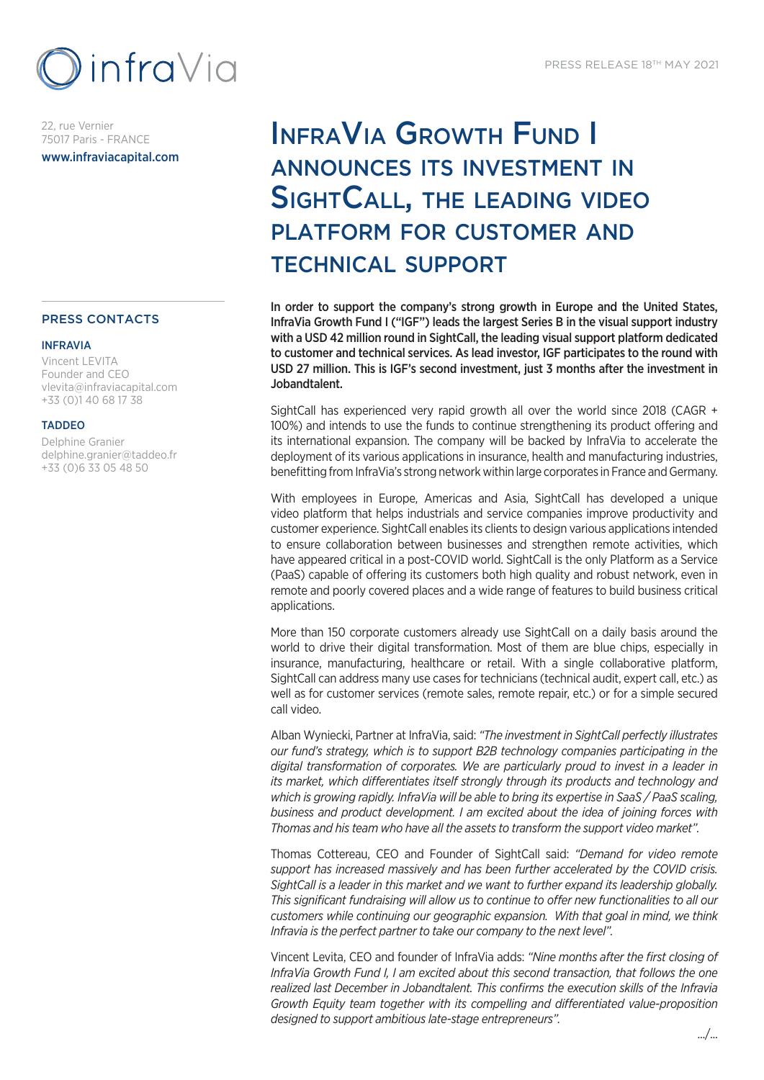

22, rue Vernier 75017 Paris - FRANCE www.infraviacapital.com

## PRESS CONTACTS

#### INFRAVIA

Vincent LEVITA Founder and CEO vlevita@infraviacapital.com +33 (0)1 40 68 17 38

### TADDEO

Delphine Granier delphine.granier@taddeo.fr +33 (0)6 33 05 48 50

# InfraVia Growth Fund I announces its investment in SightCall, the leading video platform for customer and technical support

In order to support the company's strong growth in Europe and the United States, InfraVia Growth Fund I ("IGF") leads the largest Series B in the visual support industry with a USD 42 million round in SightCall, the leading visual support platform dedicated to customer and technical services. As lead investor, IGF participates to the round with USD 27 million. This is IGF's second investment, just 3 months after the investment in Jobandtalent.

SightCall has experienced very rapid growth all over the world since 2018 (CAGR + 100%) and intends to use the funds to continue strengthening its product offering and its international expansion. The company will be backed by InfraVia to accelerate the deployment of its various applications in insurance, health and manufacturing industries, benefitting from InfraVia's strong network within large corporates in France and Germany.

With employees in Europe, Americas and Asia, SightCall has developed a unique video platform that helps industrials and service companies improve productivity and customer experience. SightCall enables its clients to design various applications intended to ensure collaboration between businesses and strengthen remote activities, which have appeared critical in a post-COVID world. SightCall is the only Platform as a Service (PaaS) capable of offering its customers both high quality and robust network, even in remote and poorly covered places and a wide range of features to build business critical applications.

More than 150 corporate customers already use SightCall on a daily basis around the world to drive their digital transformation. Most of them are blue chips, especially in insurance, manufacturing, healthcare or retail. With a single collaborative platform, SightCall can address many use cases for technicians (technical audit, expert call, etc.) as well as for customer services (remote sales, remote repair, etc.) or for a simple secured call video.

Alban Wyniecki, Partner at InfraVia, said: *"The investment in SightCall perfectly illustrates our fund's strategy, which is to support B2B technology companies participating in the digital transformation of corporates. We are particularly proud to invest in a leader in its market, which differentiates itself strongly through its products and technology and which is growing rapidly. InfraVia will be able to bring its expertise in SaaS / PaaS scaling, business and product development. I am excited about the idea of joining forces with Thomas and his team who have all the assets to transform the support video market".*

Thomas Cottereau, CEO and Founder of SightCall said: *"Demand for video remote support has increased massively and has been further accelerated by the COVID crisis. SightCall is a leader in this market and we want to further expand its leadership globally. This significant fundraising will allow us to continue to offer new functionalities to all our customers while continuing our geographic expansion. With that goal in mind, we think Infravia is the perfect partner to take our company to the next level".*

Vincent Levita, CEO and founder of InfraVia adds: *"Nine months after the first closing of InfraVia Growth Fund I, I am excited about this second transaction, that follows the one realized last December in Jobandtalent. This confirms the execution skills of the Infravia Growth Equity team together with its compelling and differentiated value-proposition designed to support ambitious late-stage entrepreneurs".*